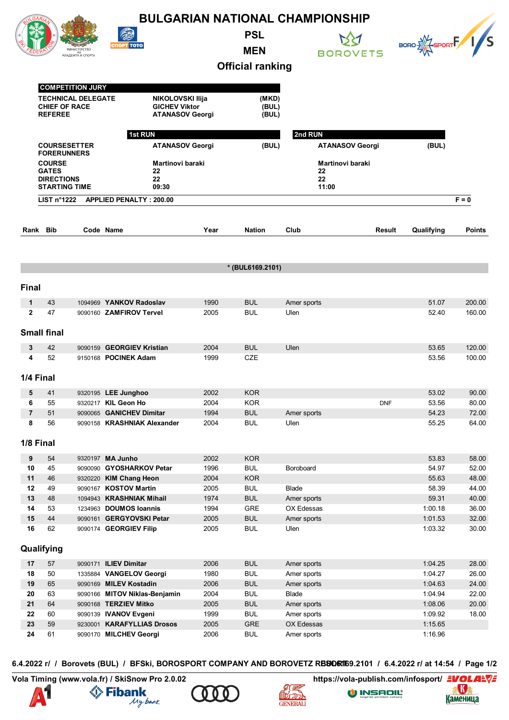|                |                                                                                                  |            |                                                                 |                                                                           |                          | <b>BULGARIAN NATIONAL CHAMPIONSHIP</b> |                                                                 |                     |                |  |
|----------------|--------------------------------------------------------------------------------------------------|------------|-----------------------------------------------------------------|---------------------------------------------------------------------------|--------------------------|----------------------------------------|-----------------------------------------------------------------|---------------------|----------------|--|
|                |                                                                                                  | MA HA CHOO | 2<br><b>СПОРТ ТОТО</b>                                          |                                                                           | <b>PSL</b><br><b>MEN</b> |                                        | <b>BOROVETS</b>                                                 | BORO EXT SPORTF 1/S |                |  |
|                |                                                                                                  |            |                                                                 |                                                                           | <b>Official ranking</b>  |                                        |                                                                 |                     |                |  |
|                |                                                                                                  |            |                                                                 |                                                                           |                          |                                        |                                                                 |                     |                |  |
|                | <b>COMPETITION JURY</b><br><b>TECHNICAL DELEGATE</b><br><b>CHIEF OF RACE</b><br><b>REFEREE</b>   |            |                                                                 | <b>NIKOLOVSKI Ilija</b><br><b>GICHEV Viktor</b><br><b>ATANASOV Georgi</b> |                          | (MKD)<br>(BUL)<br>(BUL)                |                                                                 |                     |                |  |
|                | 1st RUN<br><b>COURSESETTER</b>                                                                   |            |                                                                 |                                                                           | (BUL)                    | 2nd RUN                                | <b>ATANASOV Georgi</b><br>Martinovi baraki<br>22<br>22<br>11:00 |                     |                |  |
|                | <b>FORERUNNERS</b><br><b>COURSE</b><br><b>GATES</b><br><b>DIRECTIONS</b><br><b>STARTING TIME</b> |            | <b>ATANASOV Georgi</b><br>Martinovi baraki<br>22<br>22<br>09:30 |                                                                           |                          |                                        |                                                                 |                     | (BUL)          |  |
|                |                                                                                                  |            |                                                                 |                                                                           |                          |                                        |                                                                 |                     |                |  |
|                | LIST $n^{\circ}1222$                                                                             |            | <b>APPLIED PENALTY: 200.00</b>                                  |                                                                           |                          |                                        |                                                                 |                     | $F = 0$        |  |
|                | Rank Bib                                                                                         |            | Code Name                                                       | Year                                                                      | <b>Nation</b>            | Club                                   | Result                                                          | Qualifying          | <b>Points</b>  |  |
|                |                                                                                                  |            |                                                                 |                                                                           |                          |                                        |                                                                 |                     |                |  |
|                |                                                                                                  |            |                                                                 |                                                                           | * (BUL6169.2101)         |                                        |                                                                 |                     |                |  |
| <b>Final</b>   |                                                                                                  |            |                                                                 |                                                                           |                          |                                        |                                                                 |                     |                |  |
| 1              | 43                                                                                               |            | 1094969 YANKOV Radoslav                                         | 1990                                                                      | <b>BUL</b>               | Amer sports                            |                                                                 | 51.07               | 200.00         |  |
| $\mathbf{2}$   | 47                                                                                               |            | 9090160 ZAMFIROV Tervel                                         | 2005                                                                      | <b>BUL</b>               | Ulen                                   |                                                                 | 52.40               | 160.00         |  |
|                | <b>Small final</b>                                                                               |            |                                                                 |                                                                           |                          |                                        |                                                                 |                     |                |  |
| 3              | 42                                                                                               |            | 9090159 GEORGIEV Kristian                                       | 2004                                                                      | <b>BUL</b>               | Ulen                                   |                                                                 | 53.65               | 120.00         |  |
| 4              | 52                                                                                               |            | 9150168 POCINEK Adam                                            | 1999                                                                      | <b>CZE</b>               |                                        |                                                                 | 53.56               | 100.00         |  |
|                | 1/4 Final                                                                                        |            |                                                                 |                                                                           |                          |                                        |                                                                 |                     |                |  |
| 5              | 41                                                                                               |            | 9320195 LEE Junghoo                                             | 2002                                                                      | <b>KOR</b>               |                                        |                                                                 | 53.02               | 90.00          |  |
| 6              | 55                                                                                               |            | 9320217 KIL Geon Ho                                             | 2004                                                                      | <b>KOR</b>               |                                        | <b>DNF</b>                                                      | 53.56               | 80.00          |  |
| $\overline{7}$ | 51                                                                                               |            | 9090065 GANICHEV Dimitar                                        | 1994                                                                      | <b>BUL</b>               | Amer sports                            |                                                                 | 54.23               | 72.00          |  |
| 8              | 56                                                                                               |            | 9090158 KRASHNIAK Alexander                                     | 2004                                                                      | <b>BUL</b>               | Ulen                                   |                                                                 | 55.25               | 64.00          |  |
|                | 1/8 Final                                                                                        |            |                                                                 |                                                                           |                          |                                        |                                                                 |                     |                |  |
| 9              | 54                                                                                               |            | 9320197 MA Junho                                                | 2002                                                                      | <b>KOR</b>               |                                        |                                                                 | 53.83               | 58.00          |  |
| 10             | 45                                                                                               |            | 9090090 GYOSHARKOV Petar                                        | 1996                                                                      | <b>BUL</b>               | Boroboard                              |                                                                 | 54.97               | 52.00          |  |
| 11             | 46                                                                                               |            | 9320220 KIM Chang Heon                                          | 2004                                                                      | <b>KOR</b>               |                                        |                                                                 | 55.63               | 48.00          |  |
| 12             | 49                                                                                               |            | 9090167 KOSTOV Martin                                           | 2005                                                                      | <b>BUL</b>               | <b>Blade</b>                           |                                                                 | 58.39               | 44.00          |  |
| 13             | 48                                                                                               |            | 1094943 KRASHNIAK Mihail                                        | 1974                                                                      | <b>BUL</b>               | Amer sports<br>OX Edessas              |                                                                 | 59.31               | 40.00          |  |
| 14<br>15       | 53<br>44                                                                                         |            | 1234963 DOUMOS Ioannis<br>9090161 GERGYOVSKI Petar              | 1994<br>2005                                                              | GRE<br><b>BUL</b>        | Amer sports                            |                                                                 | 1:00.18<br>1:01.53  | 36.00<br>32.00 |  |
| 16             | 62                                                                                               |            | 9090174 GEORGIEV Filip                                          | 2005                                                                      | <b>BUL</b>               | Ulen                                   |                                                                 | 1:03.32             | 30.00          |  |
|                | Qualifying                                                                                       |            |                                                                 |                                                                           |                          |                                        |                                                                 |                     |                |  |
| 17             | 57                                                                                               |            | 9090171 ILIEV Dimitar                                           | 2006                                                                      | <b>BUL</b>               | Amer sports                            |                                                                 | 1:04.25             | 28.00          |  |
| 18             | 50                                                                                               |            | 1335884 VANGELOV Georgi                                         | 1980                                                                      | <b>BUL</b>               | Amer sports                            |                                                                 | 1:04.27             | 26.00          |  |
| 19             | 65                                                                                               |            | 9090169 MILEV Kostadin                                          | 2006                                                                      | <b>BUL</b>               | Amer sports                            |                                                                 | 1:04.63             | 24.00          |  |
| 20             | 63                                                                                               |            | 9090166 MITOV Niklas-Benjamin                                   | 2004                                                                      | <b>BUL</b>               | Blade                                  |                                                                 | 1:04.94             | 22.00          |  |
| 21             | 64                                                                                               |            | 9090168 TERZIEV Mitko                                           | 2005                                                                      | <b>BUL</b>               | Amer sports                            |                                                                 | 1:08.06             | 20.00          |  |
| 22             | 60                                                                                               |            | 9090139 <b>IVANOV Evgeni</b>                                    | 1999                                                                      | <b>BUL</b>               | Amer sports                            |                                                                 | 1:09.92             | 18.00          |  |
| 23             | 59                                                                                               |            | 9230001 KARAFYLLIAS Drosos                                      | 2005                                                                      | GRE                      | OX Edessas                             |                                                                 | 1:15.65             |                |  |
| 24             | 61                                                                                               |            | 9090170 MILCHEV Georgi                                          | 2006                                                                      | <b>BUL</b>               | Amer sports                            |                                                                 | 1:16.96             |                |  |

6.4.2022 г/ / Borovets (BUL) / BFSki, BOROSPORT COMPANY AND BOROVETZ RBSORT69.2101 / 6.4.2022 г/ at 14:54 / Page 1/2











**СК**<br>Каменица